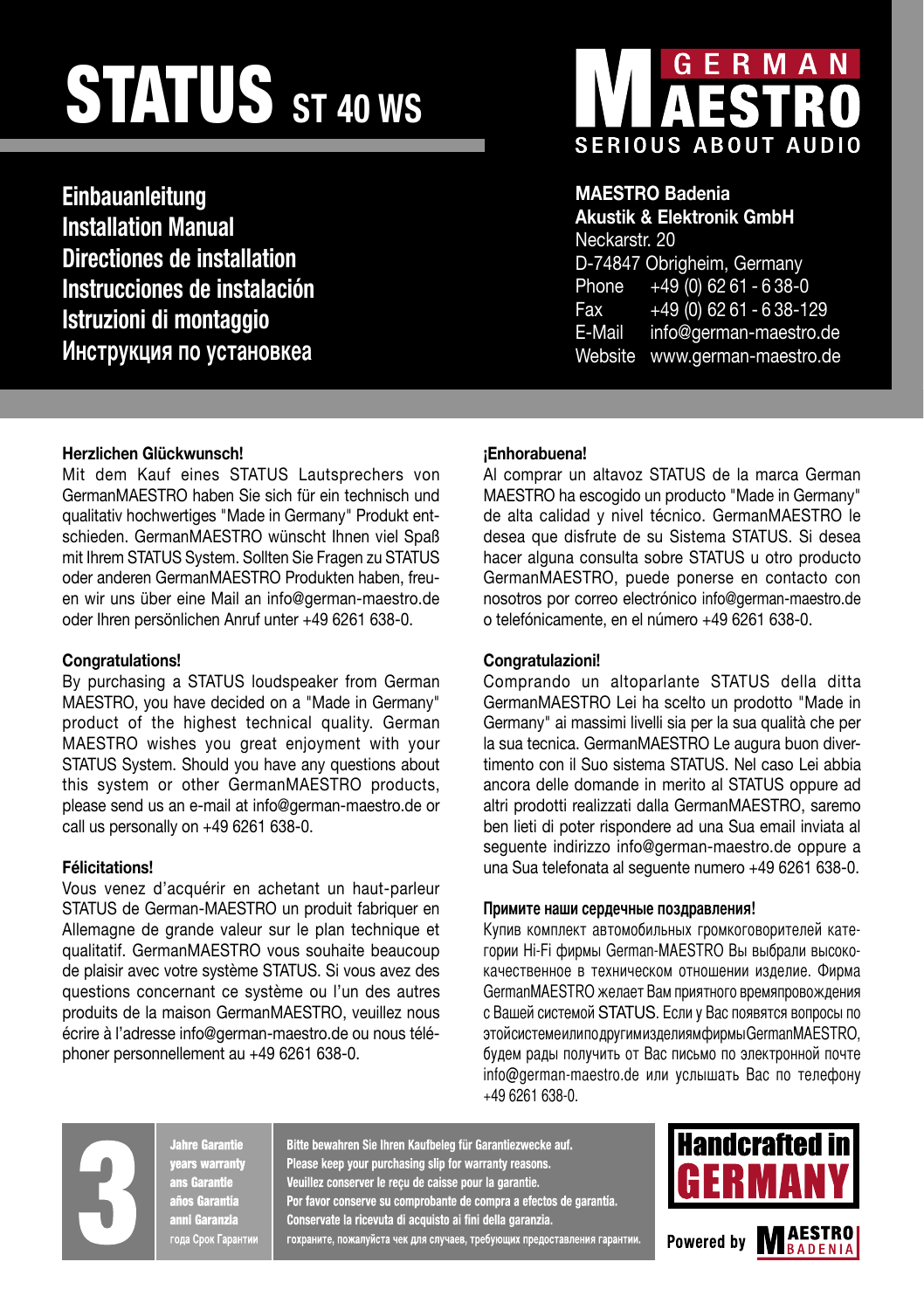# STATUS **ST 40 WS**

**Einbauanleitung Installation Manual Directiones de installation Instrucciones de instalación Istruzioni di montaggio Инструкция по yстанoвкеа**



## **MAESTRO Badenia**

**Akustik & Elektronik GmbH** Neckarstr. 20 D-74847 Obrigheim, Germany Phone +49 (0) 62 61 - 6 38-0 Fax +49 (0) 62 61 - 6 38-129 E-Mail info@german-maestro.de Website www.german-maestro.de

### **Herzlichen Glückwunsch!**

Mit dem Kauf eines STATUS Lautsprechers von GermanMAESTRO haben Sie sich für ein technisch und qualitativ hochwertiges "Made in Germany" Produkt entschieden. GermanMAESTRO wünscht Ihnen viel Spaß mit Ihrem STATUS System. Sollten Sie Fragen zu STATUS oder anderen GermanMAESTRO Produkten haben, freuen wir uns über eine Mail an info@german-maestro.de oder Ihren persönlichen Anruf unter +49 6261 638-0.

### **Congratulations!**

By purchasing a STATUS loudspeaker from German MAESTRO, you have decided on a "Made in Germany" product of the highest technical quality. German MAESTRO wishes you great enjoyment with your STATUS System. Should you have any questions about this system or other GermanMAESTRO products, please send us an e-mail at info@german-maestro.de or call us personally on +49 6261 638-0.

### **Félicitations!**

Vous venez d'acquérir en achetant un haut-parleur STATUS de German-MAESTRO un produit fabriquer en Allemagne de grande valeur sur le plan technique et qualitatif. GermanMAESTRO vous souhaite beaucoup de plaisir avec votre système STATUS. Si vous avez des questions concernant ce système ou l'un des autres produits de la maison GermanMAESTRO, veuillez nous écrire à l'adresse info@german-maestro.de ou nous téléphoner personnellement au +49 6261 638-0.

### **¡Enhorabuena!**

Al comprar un altavoz STATUS de la marca German MAESTRO ha escogido un producto "Made in Germany" de alta calidad y nivel técnico. GermanMAESTRO le desea que disfrute de su Sistema STATUS. Si desea hacer alguna consulta sobre STATUS u otro producto GermanMAESTRO, puede ponerse en contacto con nosotros por correo electrónico info@german-maestro.de o telefónicamente, en el número +49 6261 638-0.

### **Congratulazioni!**

Comprando un altoparlante STATUS della ditta GermanMAESTRO Lei ha scelto un prodotto "Made in Germany" ai massimi livelli sia per la sua qualità che per la sua tecnica. GermanMAESTRO Le augura buon divertimento con il Suo sistema STATUS. Nel caso Lei abbia ancora delle domande in merito al STATUS oppure ad altri prodotti realizzati dalla GermanMAESTRO, saremo ben lieti di poter rispondere ad una Sua email inviata al seguente indirizzo info@german-maestro.de oppure a una Sua telefonata al seguente numero +49 6261 638-0.

### **Примите наши сердечные поздравления!**

Купив комплект автомобильных громкоговорителей категории Hi-Fi фирмы German-MAESTRO Вы выбрали высококачественное в техническом отношении изделие. Фирма GermanMAESTRO желает Вам приятного времяпровождения с Вашей системой STATUS. Если у Вас появятся вопросы по этой системе или по другим изделиям фирмы GermanMAESTRO, будем рады получить от Вас письмо по электронной почте info@german-maestro.de или услышать Вас по телефону +49 6261 638-0.

Jahre Garantie years warranty ans Garantie años Garantia anni Garanzia .<br>года Срок Гаранти**и**  Bitte bewahren Sie Ihren Kaufbeleg für Garantiezwecke auf. Please keep your purchasing slip for warranty reasons. Veuillez conserver le reçu de caisse pour la garantie. Por favor conserve su comprobante de compra a efectos de garantía. Conservate la ricevuta di acquisto ai fini della garanzia. гохраните, пожалуйста чек для случаев, требующих предоставления гарантии.



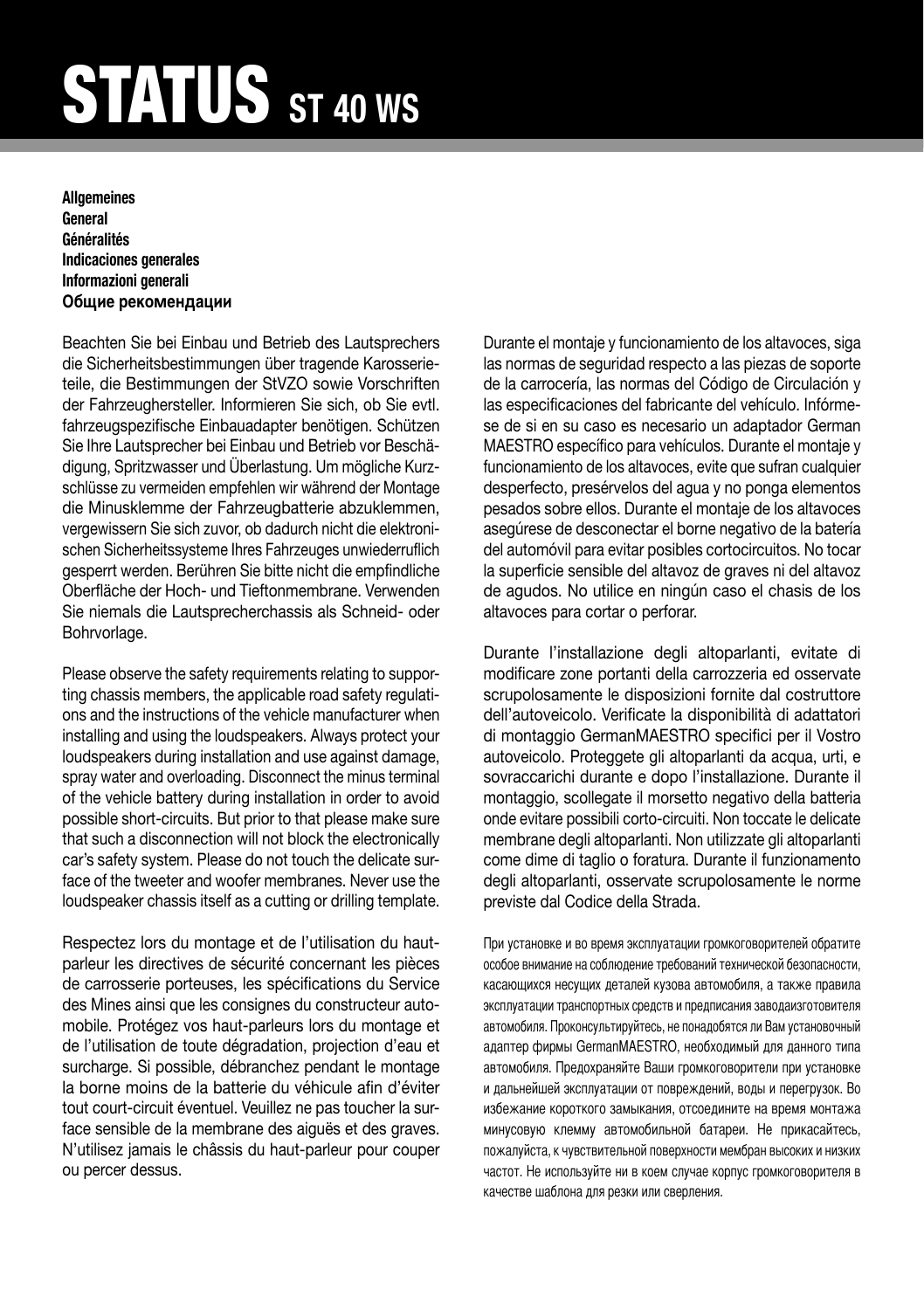# STATUS **ST 40 WS**

### **Allgemeines General Généralités Indicaciones generales Informazioni generali** Общие рекомендации

Beachten Sie bei Einbau und Betrieb des Lautsprechers die Sicherheitsbestimmungen über tragende Karosserieteile, die Bestimmungen der StVZO sowie Vorschriften der Fahrzeughersteller. Informieren Sie sich, ob Sie evtl. fahrzeugspezifische Einbauadapter benötigen. Schützen Sie Ihre Lautsprecher bei Einbau und Betrieb vor Beschädigung, Spritzwasser und Überlastung. Um mögliche Kurzschlüsse zu vermeiden empfehlen wir während der Montage die Minusklemme der Fahrzeugbatterie abzuklemmen, vergewissern Sie sich zuvor, ob dadurch nicht die elektronischen Sicherheitssysteme Ihres Fahrzeuges unwiederruflich gesperrt werden. Berühren Sie bitte nicht die empfindliche Oberfläche der Hoch- und Tieftonmembrane. Verwenden Sie niemals die Lautsprecherchassis als Schneid- oder Bohrvorlage.

Please observe the safety requirements relating to supporting chassis members, the applicable road safety regulations and the instructions of the vehicle manufacturer when installing and using the loudspeakers. Always protect your loudspeakers during installation and use against damage, spray water and overloading. Disconnect the minus terminal of the vehicle battery during installation in order to avoid possible short-circuits. But prior to that please make sure that such a disconnection will not block the electronically car's safety system. Please do not touch the delicate surface of the tweeter and woofer membranes. Never use the loudspeaker chassis itself as a cutting or drilling template.

Respectez lors du montage et de l'utilisation du hautparleur les directives de sécurité concernant les pièces de carrosserie porteuses, les spécifications du Service des Mines ainsi que les consignes du constructeur automobile. Protégez vos haut-parleurs lors du montage et de l'utilisation de toute dégradation, projection d'eau et surcharge. Si possible, débranchez pendant le montage la borne moins de la batterie du véhicule afin d'éviter tout court-circuit éventuel. Veuillez ne pas toucher la surface sensible de la membrane des aiguës et des graves. N'utilisez jamais le châssis du haut-parleur pour couper ou percer dessus.

Durante el montaje y funcionamiento de los altavoces, siga las normas de seguridad respecto a las piezas de soporte de la carrocería, las normas del Código de Circulación y las especificaciones del fabricante del vehículo. Infórmese de si en su caso es necesario un adaptador German MAESTRO específico para vehículos. Durante el montaje y funcionamiento de los altavoces, evite que sufran cualquier desperfecto, presérvelos del agua y no ponga elementos pesados sobre ellos. Durante el montaje de los altavoces asegúrese de desconectar el borne negativo de la batería del automóvil para evitar posibles cortocircuitos. No tocar la superficie sensible del altavoz de graves ni del altavoz de agudos. No utilice en ningún caso el chasis de los altavoces para cortar o perforar.

Durante l'installazione degli altoparlanti, evitate di modificare zone portanti della carrozzeria ed osservate scrupolosamente le disposizioni fornite dal costruttore dell'autoveicolo. Verificate la disponibilità di adattatori di montaggio GermanMAESTRO specifici per il Vostro autoveicolo. Proteggete gli altoparlanti da acqua, urti, e sovraccarichi durante e dopo l'installazione. Durante il montaggio, scollegate il morsetto negativo della batteria onde evitare possibili corto-circuiti. Non toccate le delicate membrane degli altoparlanti. Non utilizzate gli altoparlanti come dime di taglio o foratura. Durante il funzionamento degli altoparlanti, osservate scrupolosamente le norme previste dal Codice della Strada.

При установке и во время эксплуатации громкоговорителей обратите особое внимание на соблюдение требований технической безопасности, касающихся несущих деталей кузова автомобиля, а также правила эксплуатации транспортных средств и предписания заводаизготовителя автомобиля. Проконсультируйтесь, не понадобятся ли Вам установочный адаптер фирмы GermanMAESTRO, необходимый для данного типа автомобиля. Предохраняйте Ваши громкоговорители при установке и дальнейшей эксплуатации от повреждений, воды и перегрузок. Во избежание короткого замыкания, отсоедините на время монтажа минусовую клемму автомобильной батареи. Не прикасайтесь, пожалуйста, к чувствительной поверхности мембран высоких и низких частот. Не используйте ни в коем случае корпус громкоговорителя в качестве шаблона для резки или сверления.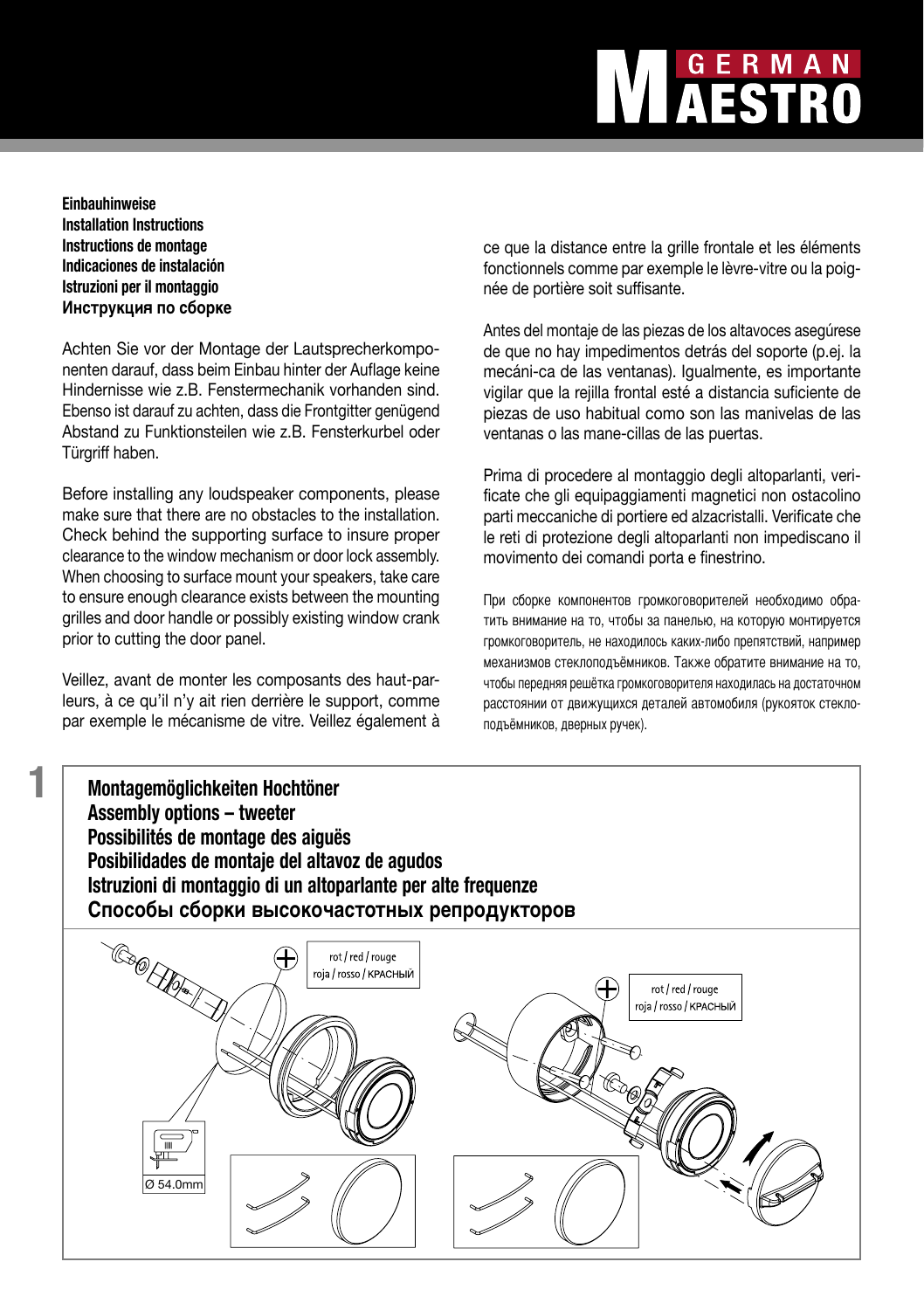# GERMAN<br>**AESTRO**

### **Einbauhinweise Installation Instructions Instructions de montage Indicaciones de instalación Istruzioni per il montaggio Инструкция по сборке**

Achten Sie vor der Montage der Lautsprecherkomponenten darauf, dass beim Einbau hinter der Auflage keine Hindernisse wie z.B. Fenstermechanik vorhanden sind. Ebenso ist darauf zu achten, dass die Frontgitter genügend Abstand zu Funktionsteilen wie z.B. Fensterkurbel oder Türgriff haben.

Before installing any loudspeaker components, please make sure that there are no obstacles to the installation. Check behind the supporting surface to insure proper clearance to the window mechanism or door lock assembly. When choosing to surface mount your speakers, take care to ensure enough clearance exists between the mounting grilles and door handle or possibly existing window crank prior to cutting the door panel.

Veillez, avant de monter les composants des haut-parleurs, à ce qu'il n'y ait rien derrière le support, comme par exemple le mécanisme de vitre. Veillez également à ce que la distance entre la grille frontale et les éléments fonctionnels comme par exemple le lèvre-vitre ou la poignée de portière soit suffisante.

Antes del montaje de las piezas de los altavoces asegúrese de que no hay impedimentos detrás del soporte (p.ej. la mecáni-ca de las ventanas). Igualmente, es importante vigilar que la rejilla frontal esté a distancia suficiente de piezas de uso habitual como son las manivelas de las ventanas o las mane-cillas de las puertas.

Prima di procedere al montaggio degli altoparlanti, verificate che gli equipaggiamenti magnetici non ostacolino parti meccaniche di portiere ed alzacristalli. Verificate che le reti di protezione degli altoparlanti non impediscano il movimento dei comandi porta e finestrino.

При сборке компонентов громкоговорителей необходимо обратить внимание на то, чтобы за панелью, на которую монтируется громкоговоритель, не находилось каких-либо препятствий, например механизмов стеклоподъёмников. Также обратите внимание на то, чтобы передняя решётка громкоговорителя находилась на достаточном расстоянии от движущихся деталей автомобиля (рукояток стеклоподъёмников, дверных ручек).